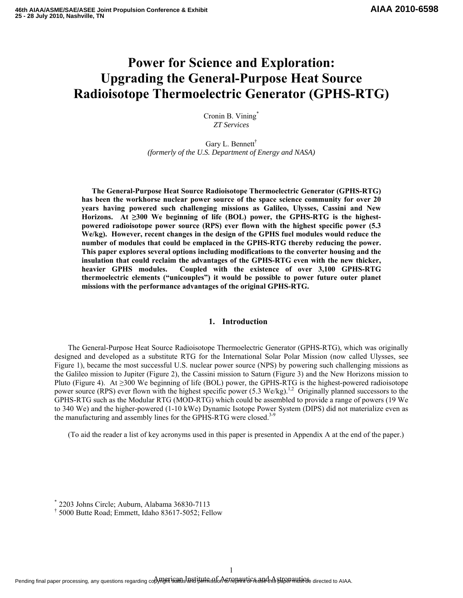# **Power for Science and Exploration: Upgrading the General-Purpose Heat Source Radioisotope Thermoelectric Generator (GPHS-RTG)**

Cronin B. Vining<sup>\*</sup> *ZT Services* 

Gary L. Bennett† *(formerly of the U.S. Department of Energy and NASA)* 

**The General-Purpose Heat Source Radioisotope Thermoelectric Generator (GPHS-RTG) has been the workhorse nuclear power source of the space science community for over 20 years having powered such challenging missions as Galileo, Ulysses, Cassini and New Horizons. At ≥300 We beginning of life (BOL) power, the GPHS-RTG is the highestpowered radioisotope power source (RPS) ever flown with the highest specific power (5.3 We/kg). However, recent changes in the design of the GPHS fuel modules would reduce the number of modules that could be emplaced in the GPHS-RTG thereby reducing the power. This paper explores several options including modifications to the converter housing and the insulation that could reclaim the advantages of the GPHS-RTG even with the new thicker, heavier GPHS modules. Coupled with the existence of over 3,100 GPHS-RTG thermoelectric elements ("unicouples") it would be possible to power future outer planet missions with the performance advantages of the original GPHS-RTG.** 

# **1. Introduction**

 The General-Purpose Heat Source Radioisotope Thermoelectric Generator (GPHS-RTG), which was originally designed and developed as a substitute RTG for the International Solar Polar Mission (now called Ulysses, see Figure 1), became the most successful U.S. nuclear power source (NPS) by powering such challenging missions as the Galileo mission to Jupiter (Figure 2), the Cassini mission to Saturn (Figure 3) and the New Horizons mission to Pluto (Figure 4). At  $\geq$ 300 We beginning of life (BOL) power, the GPHS-RTG is the highest-powered radioisotope power source (RPS) ever flown with the highest specific power (5.3 We/kg).<sup>1,2</sup> Originally planned successors to the GPHS-RTG such as the Modular RTG (MOD-RTG) which could be assembled to provide a range of powers (19 We to 340 We) and the higher-powered (1-10 kWe) Dynamic Isotope Power System (DIPS) did not materialize even as the manufacturing and assembly lines for the GPHS-RTG were closed.<sup>3-9</sup>

(To aid the reader a list of key acronyms used in this paper is presented in Appendix A at the end of the paper.)

<sup>\*</sup> 2203 Johns Circle; Auburn, Alabama 36830-7113

<sup>†</sup> 5000 Butte Road; Emmett, Idaho 83617-5052; Fellow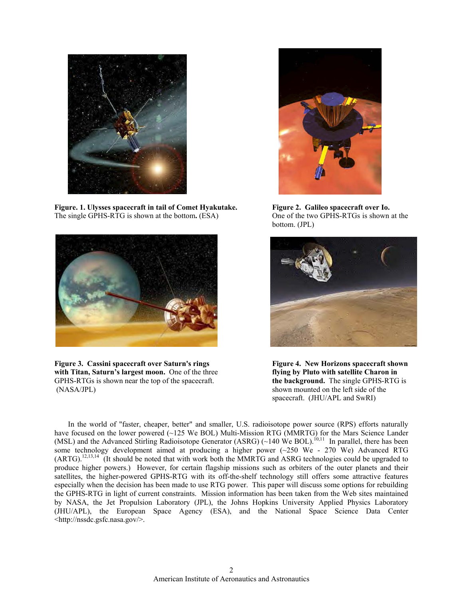

**Figure. 1. Ulysses spacecraft in tail of Comet Hyakutake. Figure 2. Galileo spacecraft over Io.**  The single GPHS-RTG is shown at the bottom**.** (ESA)One of the two GPHS-RTGs is shown at the



bottom. (JPL)



**Figure 3. Cassini spacecraft over Saturn's rings Figure 4. New Horizons spacecraft shown with Titan, Saturn's largest moon.** One of the three **flying by Pluto with satellite Charon in**  GPHS-RTGs is shown near the top of the spacecraft. **the background.** The single GPHS-RTG is (NASA/JPL) shown mounted on the left side of the



spacecraft. (JHU/APL and SwRI)

 In the world of "faster, cheaper, better" and smaller, U.S. radioisotope power source (RPS) efforts naturally have focused on the lower powered (~125 We BOL) Multi-Mission RTG (MMRTG) for the Mars Science Lander (MSL) and the Advanced Stirling Radioisotope Generator (ASRG) (~140 We BOL).<sup>10,11</sup> In parallel, there has been some technology development aimed at producing a higher power (~250 We - 270 We) Advanced RTG (ARTG).12,13,14 (It should be noted that with work both the MMRTG and ASRG technologies could be upgraded to produce higher powers.) However, for certain flagship missions such as orbiters of the outer planets and their satellites, the higher-powered GPHS-RTG with its off-the-shelf technology still offers some attractive features especially when the decision has been made to use RTG power. This paper will discuss some options for rebuilding the GPHS-RTG in light of current constraints. Mission information has been taken from the Web sites maintained by NASA, the Jet Propulsion Laboratory (JPL), the Johns Hopkins University Applied Physics Laboratory (JHU/APL), the European Space Agency (ESA), and the National Space Science Data Center <http://nssdc.gsfc.nasa.gov/>.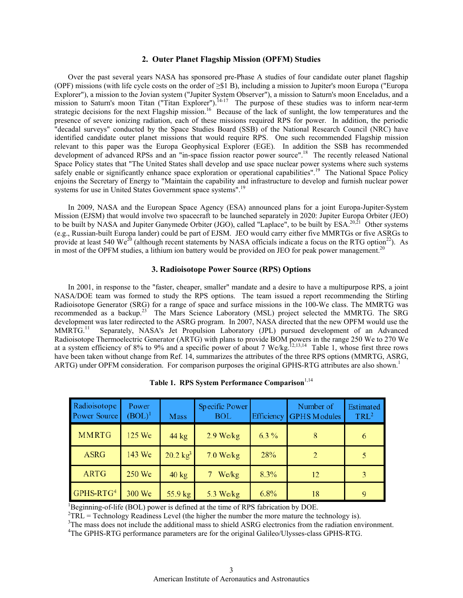#### **2. Outer Planet Flagship Mission (OPFM) Studies**

 Over the past several years NASA has sponsored pre-Phase A studies of four candidate outer planet flagship (OPF) missions (with life cycle costs on the order of  $\geq$ \$1 B), including a mission to Jupiter's moon Europa ("Europa" Explorer"), a mission to the Jovian system ("Jupiter System Observer"), a mission to Saturn's moon Enceladus, and a mission to Saturn's moon Titan ("Titan Explorer").<sup>14-17</sup> The purpose of these studies was to inform near-term strategic decisions for the next Flagship mission.<sup>16</sup> Because of the lack of sunlight, the low temperatures and the presence of severe ionizing radiation, each of these missions required RPS for power. In addition, the periodic "decadal surveys" conducted by the Space Studies Board (SSB) of the National Research Council (NRC) have identified candidate outer planet missions that would require RPS. One such recommended Flagship mission relevant to this paper was the Europa Geophysical Explorer (EGE). In addition the SSB has recommended development of advanced RPSs and an "in-space fission reactor power source".<sup>18</sup> The recently released National Space Policy states that "The United States shall develop and use space nuclear power systems where such systems safely enable or significantly enhance space exploration or operational capabilities".<sup>19</sup> The National Space Policy enjoins the Secretary of Energy to "Maintain the capability and infrastructure to develop and furnish nuclear power systems for use in United States Government space systems".<sup>19</sup>

 In 2009, NASA and the European Space Agency (ESA) announced plans for a joint Europa-Jupiter-System Mission (EJSM) that would involve two spacecraft to be launched separately in 2020: Jupiter Europa Orbiter (JEO) to be built by NASA and Jupiter Ganymede Orbiter (JGO), called "Laplace", to be built by ESA.<sup>20,21</sup> Other systems (e.g., Russian-built Europa lander) could be part of EJSM. JEO would carry either five MMRTGs or five ASRGs to provide at least 540 We<sup>20</sup> (although recent statements by NASA officials indicate a focus on the RTG option<sup>22</sup>). As in most of the OPFM studies, a lithium ion battery would be provided on JEO for peak power management.<sup>20</sup>

## **3. Radioisotope Power Source (RPS) Options**

 In 2001, in response to the "faster, cheaper, smaller" mandate and a desire to have a multipurpose RPS, a joint NASA/DOE team was formed to study the RPS options. The team issued a report recommending the Stirling Radioisotope Generator (SRG) for a range of space and surface missions in the 100-We class. The MMRTG was recommended as a backup.<sup>23</sup> The Mars Science Laboratory (MSL) project selected the MMRTG. The SRG development was later redirected to the ASRG program. In 2007, NASA directed that the new OPFM would use the MMRTG.11 Separately, NASA's Jet Propulsion Laboratory (JPL) pursued development of an Advanced Radioisotope Thermoelectric Generator (ARTG) with plans to provide BOM powers in the range 250 We to 270 We at a system efficiency of 8% to 9% and a specific power of about 7 We/kg.<sup>12,13,14</sup> Table 1, whose first three rows have been taken without change from Ref. 14, summarizes the attributes of the three RPS options (MMRTG, ASRG, ARTG) under OPFM consideration. For comparison purposes the original GPHS-RTG attributes are also shown.<sup>1</sup>

| Radioisotope<br><b>Power Source</b> | Power<br>$(BOL)^1$ | Mass                | Specific Power<br><b>BOL</b> | <b>Efficiency</b> | Number of<br><b>GPHS</b> Modules | Estimated<br>TRL <sup>2</sup> |
|-------------------------------------|--------------------|---------------------|------------------------------|-------------------|----------------------------------|-------------------------------|
| <b>MMRTG</b>                        | 125 We             | $44 \text{ kg}$     | $2.9$ We/kg                  | $6.3\%$           |                                  | 6                             |
| <b>ASRG</b>                         | 143 We             | $20.2 \text{ kg}^3$ | $7.0$ We/kg                  | 28%               | 2                                |                               |
| <b>ARTG</b>                         | 250 We             | $40 \text{ kg}$     | We/kg                        | 8.3%              | 12                               | 3                             |
| GPHS-RTG <sup>4</sup>               | 300 We             | 55.9 kg             | 5.3 We/ $kg$                 | 6.8%              | 18                               | 9                             |

Table 1. RPS System Performance Comparison<sup>1,14</sup>

<sup>1</sup>Beginning-of-life (BOL) power is defined at the time of RPS fabrication by DOE.<br><sup>2</sup>TRL = Technology Readiness Level (the higher the number the more mature the technology is).<br><sup>3</sup>The mass does not include the additional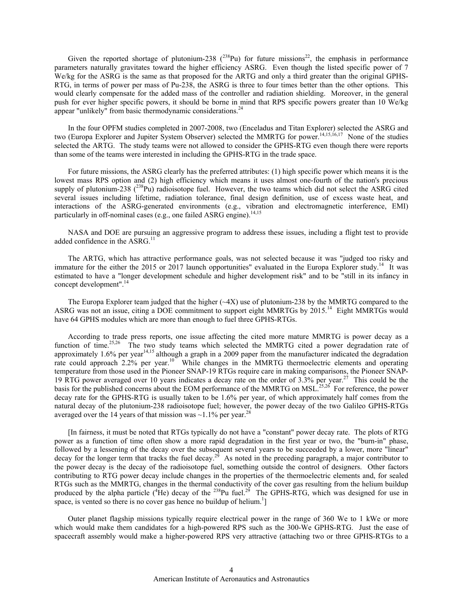Given the reported shortage of plutonium-238  $(^{238}Pu)$  for future missions<sup>22</sup>, the emphasis in performance parameters naturally gravitates toward the higher efficiency ASRG. Even though the listed specific power of 7 We/kg for the ASRG is the same as that proposed for the ARTG and only a third greater than the original GPHS-RTG, in terms of power per mass of Pu-238, the ASRG is three to four times better than the other options. This would clearly compensate for the added mass of the controller and radiation shielding. Moreover, in the general push for ever higher specific powers, it should be borne in mind that RPS specific powers greater than 10 We/kg appear "unlikely" from basic thermodynamic considerations. $^{24}$ 

 In the four OPFM studies completed in 2007-2008, two (Enceladus and Titan Explorer) selected the ASRG and two (Europa Explorer and Jupiter System Observer) selected the MMRTG for power.<sup>14,15,16,17</sup> None of the studies selected the ARTG. The study teams were not allowed to consider the GPHS-RTG even though there were reports than some of the teams were interested in including the GPHS-RTG in the trade space.

 For future missions, the ASRG clearly has the preferred attributes: (1) high specific power which means it is the lowest mass RPS option and (2) high efficiency which means it uses almost one-fourth of the nation's precious supply of plutonium-238  $(^{238}Pu)$  radioisotope fuel. However, the two teams which did not select the ASRG cited several issues including lifetime, radiation tolerance, final design definition, use of excess waste heat, and interactions of the ASRG-generated environments (e.g., vibration and electromagnetic interference, EMI) particularly in off-nominal cases (e.g., one failed ASRG engine).<sup>14,15</sup>

 NASA and DOE are pursuing an aggressive program to address these issues, including a flight test to provide added confidence in the ASRG.<sup>11</sup>

 The ARTG, which has attractive performance goals, was not selected because it was "judged too risky and immature for the either the 2015 or 2017 launch opportunities" evaluated in the Europa Explorer study.<sup>14</sup> It was estimated to have a "longer development schedule and higher development risk" and to be "still in its infancy in concept development".<sup>14</sup>

The Europa Explorer team judged that the higher  $(\sim 4X)$  use of plutonium-238 by the MMRTG compared to the ASRG was not an issue, citing a DOE commitment to support eight MMRTGs by 2015.<sup>14</sup> Eight MMRTGs would have 64 GPHS modules which are more than enough to fuel three GPHS-RTGs.

 According to trade press reports, one issue affecting the cited more mature MMRTG is power decay as a function of time.<sup>25,26</sup> The two study teams which selected the MMRTG cited a power degradation rate of approximately 1.6% per year<sup>14,15</sup> although a graph in a 2009 paper from the manufacturer indicated the degradation rate could approach 2.2% per year.<sup>10</sup> While changes in the MMRTG thermoelectric elements and operating temperature from those used in the Pioneer SNAP-19 RTGs require care in making comparisons, the Pioneer SNAP-19 RTG power averaged over 10 years indicates a decay rate on the order of 3.3% per year.<sup>27</sup> This could be the basis for the published concerns about the EOM performance of the MMRTG on MSL.<sup>25,26</sup> For reference, the power decay rate for the GPHS-RTG is usually taken to be 1.6% per year, of which approximately half comes from the natural decay of the plutonium-238 radioisotope fuel; however, the power decay of the two Galileo GPHS-RTGs averaged over the 14 years of that mission was  $\sim$ 1.1% per year.<sup>28</sup>

 [In fairness, it must be noted that RTGs typically do not have a "constant" power decay rate. The plots of RTG power as a function of time often show a more rapid degradation in the first year or two, the "burn-in" phase, followed by a lessening of the decay over the subsequent several years to be succeeded by a lower, more "linear" decay for the longer term that tracks the fuel decay.<sup>29</sup> As noted in the preceding paragraph, a major contributor to the power decay is the decay of the radioisotope fuel, something outside the control of designers. Other factors contributing to RTG power decay include changes in the properties of the thermoelectric elements and, for sealed RTGs such as the MMRTG, changes in the thermal conductivity of the cover gas resulting from the helium buildup produced by the alpha particle ( ${}^{4}$ He) decay of the <sup>238</sup>Pu fuel.<sup>29</sup> The GPHS-RTG, which was designed for use in space, is vented so there is no cover gas hence no buildup of helium.<sup>1</sup>]

 Outer planet flagship missions typically require electrical power in the range of 360 We to 1 kWe or more which would make them candidates for a high-powered RPS such as the 300-We GPHS-RTG. Just the ease of spacecraft assembly would make a higher-powered RPS very attractive (attaching two or three GPHS-RTGs to a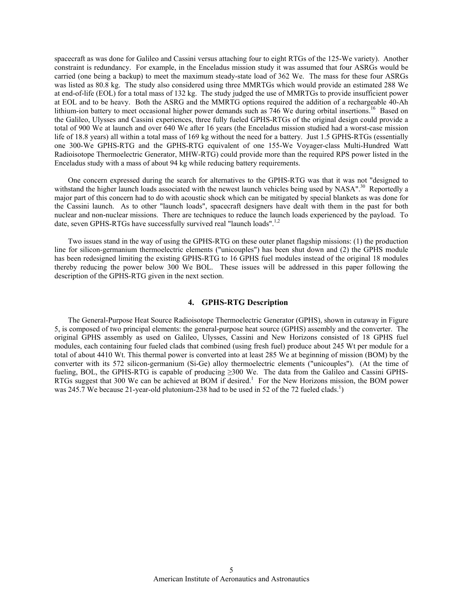spacecraft as was done for Galileo and Cassini versus attaching four to eight RTGs of the 125-We variety). Another constraint is redundancy. For example, in the Enceladus mission study it was assumed that four ASRGs would be carried (one being a backup) to meet the maximum steady-state load of 362 We. The mass for these four ASRGs was listed as 80.8 kg. The study also considered using three MMRTGs which would provide an estimated 288 We at end-of-life (EOL) for a total mass of 132 kg. The study judged the use of MMRTGs to provide insufficient power at EOL and to be heavy. Both the ASRG and the MMRTG options required the addition of a rechargeable 40-Ah lithium-ion battery to meet occasional higher power demands such as 746 We during orbital insertions.<sup>16</sup> Based on the Galileo, Ulysses and Cassini experiences, three fully fueled GPHS-RTGs of the original design could provide a total of 900 We at launch and over 640 We after 16 years (the Enceladus mission studied had a worst-case mission life of 18.8 years) all within a total mass of 169 kg without the need for a battery. Just 1.5 GPHS-RTGs (essentially one 300-We GPHS-RTG and the GPHS-RTG equivalent of one 155-We Voyager-class Multi-Hundred Watt Radioisotope Thermoelectric Generator, MHW-RTG) could provide more than the required RPS power listed in the Enceladus study with a mass of about 94 kg while reducing battery requirements.

 One concern expressed during the search for alternatives to the GPHS-RTG was that it was not "designed to withstand the higher launch loads associated with the newest launch vehicles being used by NASA".<sup>30</sup> Reportedly a major part of this concern had to do with acoustic shock which can be mitigated by special blankets as was done for the Cassini launch. As to other "launch loads", spacecraft designers have dealt with them in the past for both nuclear and non-nuclear missions. There are techniques to reduce the launch loads experienced by the payload. To date, seven GPHS-RTGs have successfully survived real "launch loads".<sup>1,2</sup>

 Two issues stand in the way of using the GPHS-RTG on these outer planet flagship missions: (1) the production line for silicon-germanium thermoelectric elements ("unicouples") has been shut down and (2) the GPHS module has been redesigned limiting the existing GPHS-RTG to 16 GPHS fuel modules instead of the original 18 modules thereby reducing the power below 300 We BOL. These issues will be addressed in this paper following the description of the GPHS-RTG given in the next section.

# **4. GPHS-RTG Description**

 The General-Purpose Heat Source Radioisotope Thermoelectric Generator (GPHS), shown in cutaway in Figure 5, is composed of two principal elements: the general-purpose heat source (GPHS) assembly and the converter. The original GPHS assembly as used on Galileo, Ulysses, Cassini and New Horizons consisted of 18 GPHS fuel modules, each containing four fueled clads that combined (using fresh fuel) produce about 245 Wt per module for a total of about 4410 Wt. This thermal power is converted into at least 285 We at beginning of mission (BOM) by the converter with its 572 silicon-germanium (Si-Ge) alloy thermoelectric elements ("unicouples"). (At the time of fueling, BOL, the GPHS-RTG is capable of producing ≥300 We. The data from the Galileo and Cassini GPHS-RTGs suggest that 300 We can be achieved at BOM if desired.<sup>1</sup> For the New Horizons mission, the BOM power was 245.7 We because 21-year-old plutonium-238 had to be used in 52 of the 72 fueled clads.<sup>1</sup>)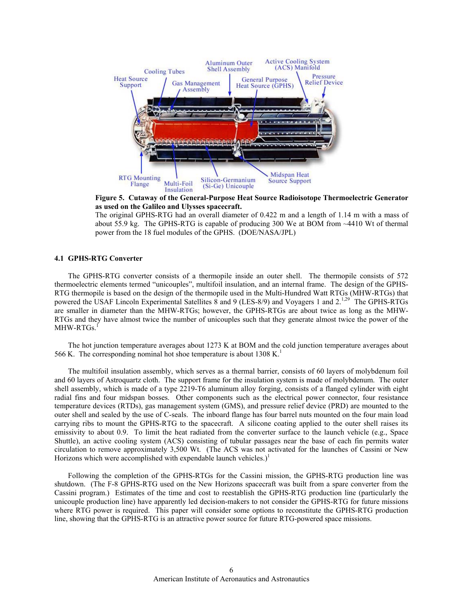

**Figure 5. Cutaway of the General-Purpose Heat Source Radioisotope Thermoelectric Generator as used on the Galileo and Ulysses spacecraft.** 

The original GPHS-RTG had an overall diameter of 0.422 m and a length of 1.14 m with a mass of about 55.9 kg. The GPHS-RTG is capable of producing 300 We at BOM from ~4410 Wt of thermal power from the 18 fuel modules of the GPHS. (DOE/NASA/JPL)

### **4.1 GPHS-RTG Converter**

 The GPHS-RTG converter consists of a thermopile inside an outer shell. The thermopile consists of 572 thermoelectric elements termed "unicouples", multifoil insulation, and an internal frame. The design of the GPHS-RTG thermopile is based on the design of the thermopile used in the Multi-Hundred Watt RTGs (MHW-RTGs) that powered the USAF Lincoln Experimental Satellites 8 and 9 (LES-8/9) and Voyagers 1 and  $2^{1,29}$  The GPHS-RTGs are smaller in diameter than the MHW-RTGs; however, the GPHS-RTGs are about twice as long as the MHW-RTGs and they have almost twice the number of unicouples such that they generate almost twice the power of the MHW-RTGs.<sup>1</sup>

 The hot junction temperature averages about 1273 K at BOM and the cold junction temperature averages about 566 K. The corresponding nominal hot shoe temperature is about 1308 K.<sup>1</sup>

 The multifoil insulation assembly, which serves as a thermal barrier, consists of 60 layers of molybdenum foil and 60 layers of Astroquartz cloth. The support frame for the insulation system is made of molybdenum. The outer shell assembly, which is made of a type 2219-T6 aluminum alloy forging, consists of a flanged cylinder with eight radial fins and four midspan bosses. Other components such as the electrical power connector, four resistance temperature devices (RTDs), gas management system (GMS), and pressure relief device (PRD) are mounted to the outer shell and sealed by the use of C-seals. The inboard flange has four barrel nuts mounted on the four main load carrying ribs to mount the GPHS-RTG to the spacecraft. A silicone coating applied to the outer shell raises its emissivity to about 0.9. To limit the heat radiated from the converter surface to the launch vehicle (e.g., Space Shuttle), an active cooling system (ACS) consisting of tubular passages near the base of each fin permits water circulation to remove approximately 3,500 Wt. (The ACS was not activated for the launches of Cassini or New Horizons which were accomplished with expendable launch vehicles.) $<sup>1</sup>$ </sup>

 Following the completion of the GPHS-RTGs for the Cassini mission, the GPHS-RTG production line was shutdown. (The F-8 GPHS-RTG used on the New Horizons spacecraft was built from a spare converter from the Cassini program.) Estimates of the time and cost to reestablish the GPHS-RTG production line (particularly the unicouple production line) have apparently led decision-makers to not consider the GPHS-RTG for future missions where RTG power is required. This paper will consider some options to reconstitute the GPHS-RTG production line, showing that the GPHS-RTG is an attractive power source for future RTG-powered space missions.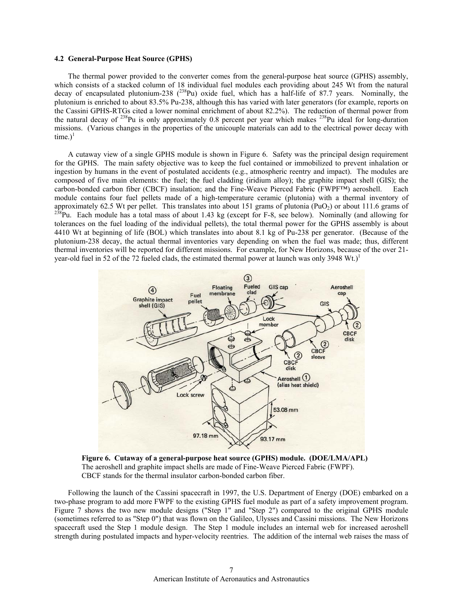#### **4.2 General-Purpose Heat Source (GPHS)**

 The thermal power provided to the converter comes from the general-purpose heat source (GPHS) assembly, which consists of a stacked column of 18 individual fuel modules each providing about 245 Wt from the natural decay of encapsulated plutonium-238 (<sup>238</sup>Pu) oxide fuel, which has a half-life of 87.7 years. Nominally, the plutonium is enriched to about 83.5% Pu-238, although this has varied with later generators (for example, reports on the Cassini GPHS-RTGs cited a lower nominal enrichment of about 82.2%). The reduction of thermal power from the natural decay of <sup>238</sup>Pu is only approximately 0.8 percent per year which makes <sup>238</sup>Pu ideal for long-duration missions. (Various changes in the properties of the unicouple materials can add to the electrical power decay with time.) $<sup>1</sup>$ </sup>

 A cutaway view of a single GPHS module is shown in Figure 6. Safety was the principal design requirement for the GPHS. The main safety objective was to keep the fuel contained or immobilized to prevent inhalation or ingestion by humans in the event of postulated accidents (e.g., atmospheric reentry and impact). The modules are composed of five main elements: the fuel; the fuel cladding (iridium alloy); the graphite impact shell (GIS); the carbon-bonded carbon fiber (CBCF) insulation; and the Fine-Weave Pierced Fabric (FWPF™) aeroshell. Each module contains four fuel pellets made of a high-temperature ceramic (plutonia) with a thermal inventory of approximately 62.5 Wt per pellet. This translates into about 151 grams of plutonia (PuO<sub>2</sub>) or about 111.6 grams of  $^{238}$ Pu. Each module has a total mass of about 1.43 kg (except for F-8, see below). Nominally (and allo tolerances on the fuel loading of the individual pellets), the total thermal power for the GPHS assembly is about 4410 Wt at beginning of life (BOL) which translates into about 8.1 kg of Pu-238 per generator. (Because of the plutonium-238 decay, the actual thermal inventories vary depending on when the fuel was made; thus, different thermal inventories will be reported for different missions. For example, for New Horizons, because of the over 21 year-old fuel in 52 of the 72 fueled clads, the estimated thermal power at launch was only 3948 Wt.)<sup>1</sup>



 **Figure 6. Cutaway of a general-purpose heat source (GPHS) module. (DOE/LMA/APL)**  The aeroshell and graphite impact shells are made of Fine-Weave Pierced Fabric (FWPF). CBCF stands for the thermal insulator carbon-bonded carbon fiber.

 Following the launch of the Cassini spacecraft in 1997, the U.S. Department of Energy (DOE) embarked on a two-phase program to add more FWPF to the existing GPHS fuel module as part of a safety improvement program. Figure 7 shows the two new module designs ("Step 1" and "Step 2") compared to the original GPHS module (sometimes referred to as "Step 0") that was flown on the Galileo, Ulysses and Cassini missions. The New Horizons spacecraft used the Step 1 module design. The Step 1 module includes an internal web for increased aeroshell strength during postulated impacts and hyper-velocity reentries. The addition of the internal web raises the mass of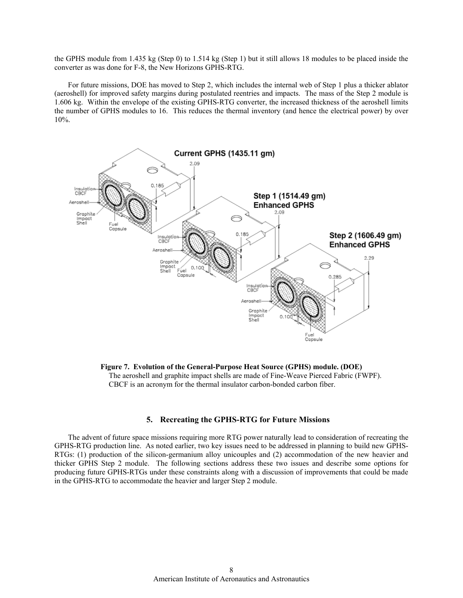the GPHS module from 1.435 kg (Step 0) to 1.514 kg (Step 1) but it still allows 18 modules to be placed inside the converter as was done for F-8, the New Horizons GPHS-RTG.

 For future missions, DOE has moved to Step 2, which includes the internal web of Step 1 plus a thicker ablator (aeroshell) for improved safety margins during postulated reentries and impacts. The mass of the Step 2 module is 1.606 kg. Within the envelope of the existing GPHS-RTG converter, the increased thickness of the aeroshell limits the number of GPHS modules to 16. This reduces the thermal inventory (and hence the electrical power) by over 10%.



**Figure 7. Evolution of the General-Purpose Heat Source (GPHS) module. (DOE)**  The aeroshell and graphite impact shells are made of Fine-Weave Pierced Fabric (FWPF). CBCF is an acronym for the thermal insulator carbon-bonded carbon fiber.

## **5. Recreating the GPHS-RTG for Future Missions**

 The advent of future space missions requiring more RTG power naturally lead to consideration of recreating the GPHS-RTG production line. As noted earlier, two key issues need to be addressed in planning to build new GPHS-RTGs: (1) production of the silicon-germanium alloy unicouples and (2) accommodation of the new heavier and thicker GPHS Step 2 module. The following sections address these two issues and describe some options for producing future GPHS-RTGs under these constraints along with a discussion of improvements that could be made in the GPHS-RTG to accommodate the heavier and larger Step 2 module.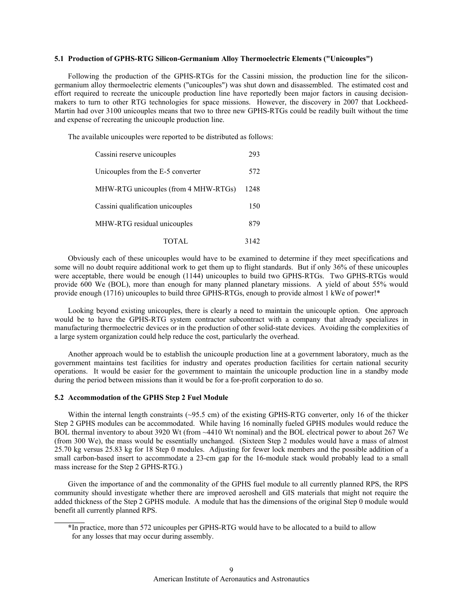## **5.1 Production of GPHS-RTG Silicon-Germanium Alloy Thermoelectric Elements ("Unicouples")**

 Following the production of the GPHS-RTGs for the Cassini mission, the production line for the silicongermanium alloy thermoelectric elements ("unicouples") was shut down and disassembled. The estimated cost and effort required to recreate the unicouple production line have reportedly been major factors in causing decisionmakers to turn to other RTG technologies for space missions. However, the discovery in 2007 that Lockheed-Martin had over 3100 unicouples means that two to three new GPHS-RTGs could be readily built without the time and expense of recreating the unicouple production line.

The available unicouples were reported to be distributed as follows:

| Cassini reserve unicouples           | 293  |
|--------------------------------------|------|
| Unicouples from the E-5 converter    | 572  |
| MHW-RTG unicouples (from 4 MHW-RTGs) | 1248 |
| Cassini qualification unicouples     | 150  |
| MHW-RTG residual unicouples          | 879  |
| TOTAL                                | 3142 |

 Obviously each of these unicouples would have to be examined to determine if they meet specifications and some will no doubt require additional work to get them up to flight standards. But if only 36% of these unicouples were acceptable, there would be enough (1144) unicouples to build two GPHS-RTGs. Two GPHS-RTGs would provide 600 We (BOL), more than enough for many planned planetary missions. A yield of about 55% would provide enough (1716) unicouples to build three GPHS-RTGs, enough to provide almost 1 kWe of power!\*

 Looking beyond existing unicouples, there is clearly a need to maintain the unicouple option. One approach would be to have the GPHS-RTG system contractor subcontract with a company that already specializes in manufacturing thermoelectric devices or in the production of other solid-state devices. Avoiding the complexities of a large system organization could help reduce the cost, particularly the overhead.

 Another approach would be to establish the unicouple production line at a government laboratory, much as the government maintains test facilities for industry and operates production facilities for certain national security operations. It would be easier for the government to maintain the unicouple production line in a standby mode during the period between missions than it would be for a for-profit corporation to do so.

### **5.2 Accommodation of the GPHS Step 2 Fuel Module**

**\_\_\_\_\_\_\_\_** 

Within the internal length constraints (~95.5 cm) of the existing GPHS-RTG converter, only 16 of the thicker Step 2 GPHS modules can be accommodated. While having 16 nominally fueled GPHS modules would reduce the BOL thermal inventory to about 3920 Wt (from ~4410 Wt nominal) and the BOL electrical power to about 267 We (from 300 We), the mass would be essentially unchanged. (Sixteen Step 2 modules would have a mass of almost 25.70 kg versus 25.83 kg for 18 Step 0 modules. Adjusting for fewer lock members and the possible addition of a small carbon-based insert to accommodate a 23-cm gap for the 16-module stack would probably lead to a small mass increase for the Step 2 GPHS-RTG.)

 Given the importance of and the commonality of the GPHS fuel module to all currently planned RPS, the RPS community should investigate whether there are improved aeroshell and GIS materials that might not require the added thickness of the Step 2 GPHS module. A module that has the dimensions of the original Step 0 module would benefit all currently planned RPS.

 **<sup>\*</sup>**In practice, more than 572 unicouples per GPHS-RTG would have to be allocated to a build to allow for any losses that may occur during assembly.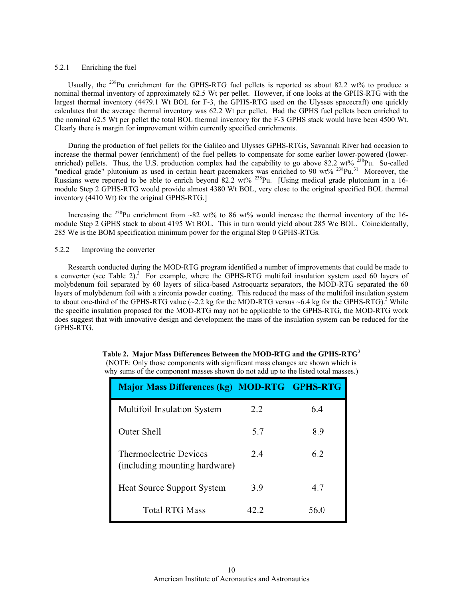#### 5.2.1 Enriching the fuel

Usually, the <sup>238</sup>Pu enrichment for the GPHS-RTG fuel pellets is reported as about 82.2 wt% to produce a nominal thermal inventory of approximately 62.5 Wt per pellet. However, if one looks at the GPHS-RTG with the largest thermal inventory (4479.1 Wt BOL for F-3, the GPHS-RTG used on the Ulysses spacecraft) one quickly calculates that the average thermal inventory was 62.2 Wt per pellet. Had the GPHS fuel pellets been enriched to the nominal 62.5 Wt per pellet the total BOL thermal inventory for the F-3 GPHS stack would have been 4500 Wt. Clearly there is margin for improvement within currently specified enrichments.

 During the production of fuel pellets for the Galileo and Ulysses GPHS-RTGs, Savannah River had occasion to increase the thermal power (enrichment) of the fuel pellets to compensate for some earlier lower-powered (lowerenriched) pellets. Thus, the U.S. production complex had the capability to go above 82.2 wt%  $^{238}$ Pu. So-called "medical grade" plutonium as used in certain heart pacemakers was enriched to 90 wt% <sup>238</sup>Pu.<sup>31</sup> Moreover, the Russians were reported to be able to enrich beyond 82.2 wt% <sup>238</sup>Pu. [Using medical grade plutonium in a 16module Step 2 GPHS-RTG would provide almost 4380 Wt BOL, very close to the original specified BOL thermal inventory (4410 Wt) for the original GPHS-RTG.]

Increasing the <sup>238</sup>Pu enrichment from ~82 wt% to 86 wt% would increase the thermal inventory of the 16module Step 2 GPHS stack to about 4195 Wt BOL. This in turn would yield about 285 We BOL. Coincidentally, 285 We is the BOM specification minimum power for the original Step 0 GPHS-RTGs.

#### 5.2.2 Improving the converter

 Research conducted during the MOD-RTG program identified a number of improvements that could be made to a converter (see Table 2).<sup>3</sup> For example, where the GPHS-RTG multifoil insulation system used 60 layers of molybdenum foil separated by 60 layers of silica-based Astroquartz separators, the MOD-RTG separated the 60 layers of molybdenum foil with a zirconia powder coating. This reduced the mass of the multifoil insulation system to about one-third of the GPHS-RTG value  $(\sim 2.2 \text{ kg}$  for the MOD-RTG versus  $\sim 6.4 \text{ kg}$  for the GPHS-RTG).<sup>3</sup> While the specific insulation proposed for the MOD-RTG may not be applicable to the GPHS-RTG, the MOD-RTG work does suggest that with innovative design and development the mass of the insulation system can be reduced for the GPHS-RTG.

| <b>Major Mass Differences (kg) MOD-RTG GPHS-RTG</b>     |      |      |
|---------------------------------------------------------|------|------|
| Multifoil Insulation System                             | 2.2  | 6.4  |
| Outer Shell                                             | 5.7  | 8.9  |
| Thermoelectric Devices<br>(including mounting hardware) | 2.4  | 6.2  |
| <b>Heat Source Support System</b>                       | 3.9  | 4.7  |
| <b>Total RTG Mass</b>                                   | 42.2 | 56.0 |

**Table 2. Major Mass Differences Between the MOD-RTG and the GPHS-RTG**<sup>3</sup> (NOTE: Only those components with significant mass changes are shown which is why sums of the component masses shown do not add up to the listed total masses.)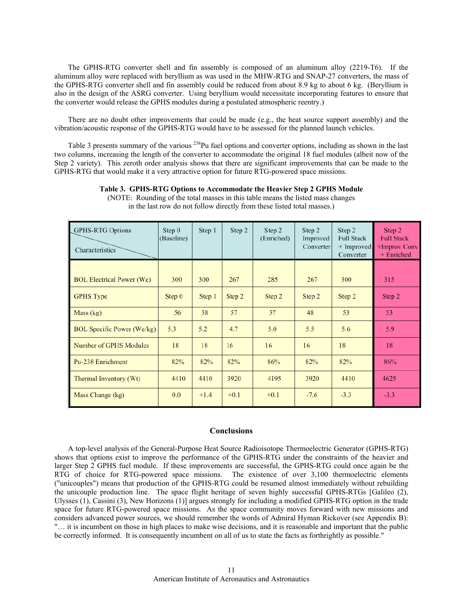The GPHS-RTG converter shell and fin assembly is composed of an aluminum alloy (2219-T6). If the aluminum alloy were replaced with beryllium as was used in the MHW-RTG and SNAP-27 converters, the mass of the GPHS-RTG converter shell and fin assembly could be reduced from about 8.9 kg to about 6 kg. (Beryllium is also in the design of the ASRG converter. Using beryllium would necessitate incorporating features to ensure that the converter would release the GPHS modules during a postulated atmospheric reentry.)

 There are no doubt other improvements that could be made (e.g., the heat source support assembly) and the vibration/acoustic response of the GPHS-RTG would have to be assessed for the planned launch vehicles.

Table 3 presents summary of the various <sup>238</sup>Pu fuel options and converter options, including as shown in the last two columns, increasing the length of the converter to accommodate the original 18 fuel modules (albeit now of the Step 2 variety). This zeroth order analysis shows that there are significant improvements that can be made to the GPHS-RTG that would make it a very attractive option for future RTG-powered space missions.

| <b>GPHS-RTG Options</b><br>Characteristics | Step 0<br>(Baseline) | Step 1 | Step 2 | Step 2<br>(Enriched) | Step 2<br>Improved<br>Converter | Step 2<br><b>Full Stack</b><br>$+$ Improved<br>Converter | Step 2<br><b>Full Stack</b><br>+Improv Conv<br>+ Enriched |
|--------------------------------------------|----------------------|--------|--------|----------------------|---------------------------------|----------------------------------------------------------|-----------------------------------------------------------|
|                                            |                      |        |        |                      |                                 |                                                          |                                                           |
| <b>BOL Electrical Power (We)</b>           | 300                  | 300    | 267    | 285                  | 267                             | 300                                                      | 315                                                       |
| <b>GPHS</b> Type                           | Step 0               | Step 1 | Step 2 | Step 2               | Step 2                          | Step 2                                                   | Step 2                                                    |
| Mass (kg)                                  | 56                   | 58     | 57     | 57                   | 48                              | 53                                                       | 53                                                        |
| <b>BOL Specific Power (We/kg)</b>          | 5.3                  | 5.2    | 4.7    | 5.0                  | 5.5                             | 5.6                                                      | 5.9                                                       |
| Number of GPHS Modules                     | 18                   | 18     | 16     | 16                   | 16                              | 18                                                       | 18                                                        |
| Pu-238 Enrichment                          | 82%                  | 82%    | 82%    | 86%                  | 82%                             | 82%                                                      | 86%                                                       |
| Thermal Inventory (Wt)                     | 4410                 | 4410   | 3920   | 4195                 | 3920                            | 4410                                                     | 4625                                                      |
| Mass Change (kg)                           | 0.0                  | $+1.4$ | $+0.1$ | $+0.1$               | $-7.6$                          | $-3.3$                                                   | $-3.3$                                                    |

**Table 3. GPHS-RTG Options to Accommodate the Heavier Step 2 GPHS Module** 

in the last row do not follow directly from these listed total masses.)

(NOTE: Rounding of the total masses in this table means the listed mass changes

## **Conclusions**

 A top-level analysis of the General-Purpose Heat Source Radioisotope Thermoelectric Generator (GPHS-RTG) shows that options exist to improve the performance of the GPHS-RTG under the constraints of the heavier and larger Step 2 GPHS fuel module. If these improvements are successful, the GPHS-RTG could once again be the RTG of choice for RTG-powered space missions. The existence of over 3,100 thermoelectric elements ("unicouples") means that production of the GPHS-RTG could be resumed almost immediately without rebuilding the unicouple production line. The space flight heritage of seven highly successful GPHS-RTGs [Galileo (2), Ulysses (1), Cassini (3), New Horizons (1)] argues strongly for including a modified GPHS-RTG option in the trade space for future RTG-powered space missions. As the space community moves forward with new missions and considers advanced power sources, we should remember the words of Admiral Hyman Rickover (see Appendix B): "… it is incumbent on those in high places to make wise decisions, and it is reasonable and important that the public be correctly informed. It is consequently incumbent on all of us to state the facts as forthrightly as possible."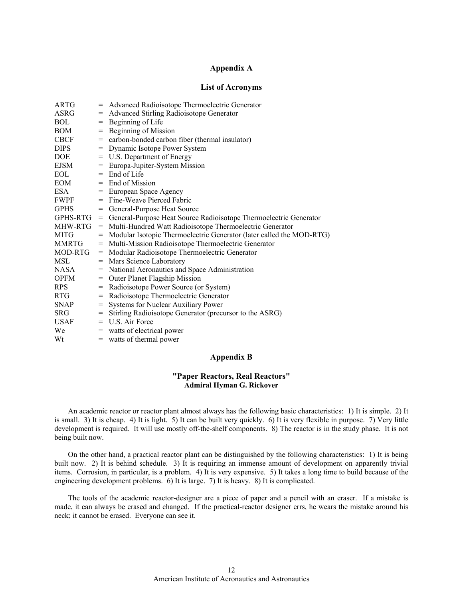# **Appendix A**

# **List of Acronyms**

| ARTG         | $=$ | Advanced Radioisotope Thermoelectric Generator                         |
|--------------|-----|------------------------------------------------------------------------|
| ASRG         | $=$ | Advanced Stirling Radioisotope Generator                               |
| BOL          | $=$ | Beginning of Life                                                      |
| BOM          | $=$ | Beginning of Mission                                                   |
| <b>CBCF</b>  |     | = carbon-bonded carbon fiber (thermal insulator)                       |
| DIPS.        |     | = Dynamic Isotope Power System                                         |
| DOE          |     | = U.S. Department of Energy                                            |
| EJSM         |     | = Europa-Jupiter-System Mission                                        |
| EOL          |     | $=$ End of Life                                                        |
| EOM          |     | = End of Mission                                                       |
| ESA          |     | = European Space Agency                                                |
| FWPF         |     | $=$ Fine-Weave Pierced Fabric                                          |
| <b>GPHS</b>  |     | = General-Purpose Heat Source                                          |
| GPHS-RTG     | $=$ | General-Purpose Heat Source Radioisotope Thermoelectric Generator      |
| MHW-RTG      |     | = Multi-Hundred Watt Radioisotope Thermoelectric Generator             |
| MITG         |     | = Modular Isotopic Thermoelectric Generator (later called the MOD-RTG) |
| <b>MMRTG</b> | $=$ | Multi-Mission Radioisotope Thermoelectric Generator                    |
| MOD-RTG      |     | = Modular Radioisotope Thermoelectric Generator                        |
| MSL          |     | = Mars Science Laboratory                                              |
| NASA         |     | = National Aeronautics and Space Administration                        |
| <b>OPFM</b>  |     | = Outer Planet Flagship Mission                                        |
| <b>RPS</b>   | $=$ | Radioisotope Power Source (or System)                                  |
| RTG.         | $=$ | Radioisotope Thermoelectric Generator                                  |
| <b>SNAP</b>  | $=$ | Systems for Nuclear Auxiliary Power                                    |
| <b>SRG</b>   | $=$ | Stirling Radioisotope Generator (precursor to the ASRG)                |
| <b>USAF</b>  |     | $=$ U.S. Air Force                                                     |
| We           |     | = watts of electrical power                                            |
| Wt           |     | $=$ watts of thermal power                                             |

## **Appendix B**

## **"Paper Reactors, Real Reactors" Admiral Hyman G. Rickover**

 An academic reactor or reactor plant almost always has the following basic characteristics: 1) It is simple. 2) It is small. 3) It is cheap. 4) It is light. 5) It can be built very quickly. 6) It is very flexible in purpose. 7) Very little development is required. It will use mostly off-the-shelf components. 8) The reactor is in the study phase. It is not being built now.

 On the other hand, a practical reactor plant can be distinguished by the following characteristics: 1) It is being built now. 2) It is behind schedule. 3) It is requiring an immense amount of development on apparently trivial items. Corrosion, in particular, is a problem. 4) It is very expensive. 5) It takes a long time to build because of the engineering development problems. 6) It is large. 7) It is heavy. 8) It is complicated.

 The tools of the academic reactor-designer are a piece of paper and a pencil with an eraser. If a mistake is made, it can always be erased and changed. If the practical-reactor designer errs, he wears the mistake around his neck; it cannot be erased. Everyone can see it.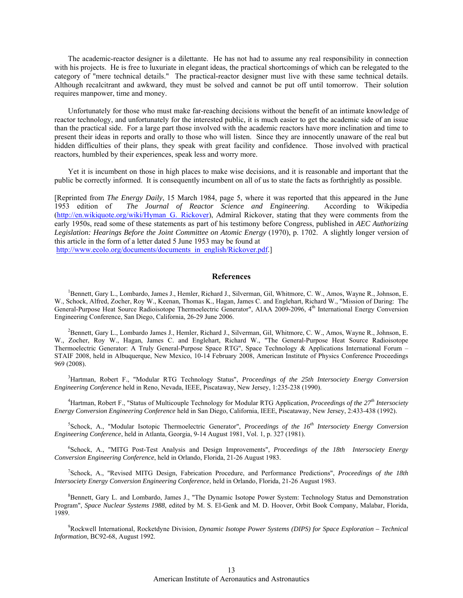The academic-reactor designer is a dilettante. He has not had to assume any real responsibility in connection with his projects. He is free to luxuriate in elegant ideas, the practical shortcomings of which can be relegated to the category of "mere technical details." The practical-reactor designer must live with these same technical details. Although recalcitrant and awkward, they must be solved and cannot be put off until tomorrow. Their solution requires manpower, time and money.

 Unfortunately for those who must make far-reaching decisions without the benefit of an intimate knowledge of reactor technology, and unfortunately for the interested public, it is much easier to get the academic side of an issue than the practical side. For a large part those involved with the academic reactors have more inclination and time to present their ideas in reports and orally to those who will listen. Since they are innocently unaware of the real but hidden difficulties of their plans, they speak with great facility and confidence. Those involved with practical reactors, humbled by their experiences, speak less and worry more.

 Yet it is incumbent on those in high places to make wise decisions, and it is reasonable and important that the public be correctly informed. It is consequently incumbent on all of us to state the facts as forthrightly as possible.

[Reprinted from *The Energy Daily*, 15 March 1984, page 5, where it was reported that this appeared in the June 1953 edition of *The Journal of Reactor Science and Engineering*. According to Wikipedia (http://en.wikiquote.org/wiki/Hyman\_G.\_Rickover), Admiral Rickover, stating that they were comments from the early 1950s, read some of these statements as part of his testimony before Congress, published in *AEC Authorizing Legislation: Hearings Before the Joint Committee on Atomic Energy* (1970), p. 1702. A slightly longer version of this article in the form of a letter dated 5 June 1953 may be found at http://www.ecolo.org/documents/documents\_in\_english/Rickover.pdf.]

## **References**

 1Bennett, Gary L., Lombardo, James J., Hemler, Richard J., Silverman, Gil, Whitmore, C. W., Amos, Wayne R., Johnson, E. W., Schock, Alfred, Zocher, Roy W., Keenan, Thomas K., Hagan, James C. and Englehart, Richard W., "Mission of Daring: The General-Purpose Heat Source Radioisotope Thermoelectric Generator", AIAA 2009-2096, 4<sup>th</sup> International Energy Conversion Engineering Conference, San Diego, California, 26-29 June 2006.

 2Bennett, Gary L., Lombardo James J., Hemler, Richard J., Silverman, Gil, Whitmore, C. W., Amos, Wayne R., Johnson, E. W., Zocher, Roy W., Hagan, James C. and Englehart, Richard W., "The General-Purpose Heat Source Radioisotope Thermoelectric Generator: A Truly General-Purpose Space RTG", Space Technology & Applications International Forum – STAIF 2008, held in Albuquerque, New Mexico, 10-14 February 2008, American Institute of Physics Conference Proceedings 969 (2008).

3 Hartman, Robert F., "Modular RTG Technology Status", *Proceedings of the 25th Intersociety Energy Conversion Engineering Conference* held in Reno, Nevada, IEEE, Piscataway, New Jersey, 1:235-238 (1990).

<sup>4</sup> Hartman, Robert F., "Status of Multicouple Technology for Modular RTG Application, *Proceedings of the 27<sup>th</sup> Intersociety Energy Conversion Engineering Conference* held in San Diego, California, IEEE, Piscataway, New Jersey, 2:433-438 (1992).

5 Schock, A., "Modular Isotopic Thermoelectric Generator", *Proceedings of the 16th Intersociety Energy Conversion Engineering Conference*, held in Atlanta, Georgia, 9-14 August 1981, Vol. 1, p. 327 (1981).

6 Schock, A., "MITG Post-Test Analysis and Design Improvements", *Proceedings of the 18th Intersociety Energy Conversion Engineering Conference*, held in Orlando, Florida, 21-26 August 1983.

7 Schock, A., "Revised MITG Design, Fabrication Procedure, and Performance Predictions", *Proceedings of the 18th Intersociety Energy Conversion Engineering Conference*, held in Orlando, Florida, 21-26 August 1983.

<sup>8</sup> Bennett, Gary L. and Lombardo, James J., "The Dynamic Isotope Power System: Technology Status and Demonstration Program", *Space Nuclear Systems 1988*, edited by M. S. El-Genk and M. D. Hoover, Orbit Book Company, Malabar, Florida, 1989.

9 Rockwell International, Rocketdyne Division, *Dynamic Isotope Power Systems (DIPS) for Space Exploration – Technical Information*, BC92-68, August 1992.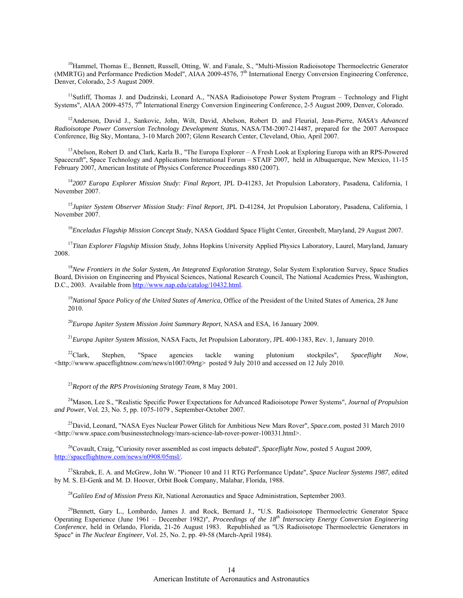<sup>10</sup>Hammel, Thomas E., Bennett, Russell, Otting, W. and Fanale, S., "Multi-Mission Radioisotope Thermoelectric Generator (MMRTG) and Performance Prediction Model", AIAA 2009-4576, 7<sup>th</sup> International Energy Conversion Engineering Conference, Denver, Colorado, 2-5 August 2009.

<sup>11</sup>Sutliff, Thomas J. and Dudzinski, Leonard A., "NASA Radioisotope Power System Program – Technology and Flight Systems", AIAA 2009-4575, 7<sup>th</sup> International Energy Conversion Engineering Conference, 2-5 August 2009, Denver, Colorado.

12Anderson, David J., Sankovic, John, Wilt, David, Abelson, Robert D. and Fleurial, Jean-Pierre, *NASA's Advanced Radioisotope Power Conversion Technology Development Status*, NASA/TM-2007-214487, prepared for the 2007 Aerospace Conference, Big Sky, Montana, 3-10 March 2007; Glenn Research Center, Cleveland, Ohio, April 2007.

<sup>13</sup>Abelson, Robert D. and Clark, Karla B., "The Europa Explorer – A Fresh Look at Exploring Europa with an RPS-Powered Spacecraft", Space Technology and Applications International Forum – STAIF 2007, held in Albuquerque, New Mexico, 11-15 February 2007, American Institute of Physics Conference Proceedings 880 (2007).

<sup>14</sup>*2007 Europa Explorer Mission Study: Final Report*, JPL D-41283, Jet Propulsion Laboratory, Pasadena, California, 1 November 2007.

<sup>15</sup>*Jupiter System Observer Mission Study: Final Report,* JPL D-41284, Jet Propulsion Laboratory, Pasadena, California, 1 November 2007.

<sup>16</sup>*Enceladus Flagship Mission Concept Study*, NASA Goddard Space Flight Center, Greenbelt, Maryland, 29 August 2007.

<sup>17</sup>*Titan Explorer Flagship Mission Study*, Johns Hopkins University Applied Physics Laboratory, Laurel, Maryland, January 2008.

<sup>18</sup>*New Frontiers in the Solar System, An Integrated Exploration Strategy*, Solar System Exploration Survey, Space Studies Board, Division on Engineering and Physical Sciences, National Research Council, The National Academies Press, Washington, D.C., 2003. Available from http://www.nap.edu/catalog/10432.html.

<sup>19</sup>*National Space Policy of the United States of America*, Office of the President of the United States of America, 28 June 2010.

<sup>20</sup>*Europa Jupiter System Mission Joint Summary Report*, NASA and ESA, 16 January 2009.

<sup>21</sup>*Europa Jupiter System Mission*, NASA Facts, Jet Propulsion Laboratory, JPL 400-1383, Rev. 1, January 2010.

22Clark, Stephen, "Space agencies tackle waning plutonium stockpiles", *Spaceflight Now*, <http://wwww.spaceflightnow.com/news/n1007/09rtg> posted 9 July 2010 and accessed on 12 July 2010.

<sup>23</sup>*Report of the RPS Provisioning Strategy Team*, 8 May 2001.

24Mason, Lee S., "Realistic Specific Power Expectations for Advanced Radioisotope Power Systems", *Journal of Propulsion and Power*, Vol. 23, No. 5, pp. 1075-1079 , September-October 2007.

25David, Leonard, "NASA Eyes Nuclear Power Glitch for Ambitious New Mars Rover", *Space.com*, posted 31 March 2010 <http://www.space.com/businesstechnology/mars-science-lab-rover-power-100331.html>.

<sup>26</sup>Covault, Craig, "Curiosity rover assembled as cost impacts debated", *Spaceflight Now*, posted 5 August 2009, http://spaceflightnow.com/news/n0908/05msl/.

27Skrabek, E. A. and McGrew, John W. "Pioneer 10 and 11 RTG Performance Update", *Space Nuclear Systems 1987*, edited by M. S. El-Genk and M. D. Hoover, Orbit Book Company, Malabar, Florida, 1988.

<sup>28</sup>*Galileo End of Mission Press Kit*, National Aeronautics and Space Administration, September 2003.

<sup>29</sup>Bennett, Gary L., Lombardo, James J. and Rock, Bernard J., "U.S. Radioisotope Thermoelectric Generator Space Operating Experience (June 1961 – December 1982)", *Proceedings of the 18th Intersociety Energy Conversion Engineering Conference*, held in Orlando, Florida, 21-26 August 1983. Republished as "US Radioisotope Thermoelectric Generators in Space" in *The Nuclear Engineer*, Vol. 25, No. 2, pp. 49-58 (March-April 1984).